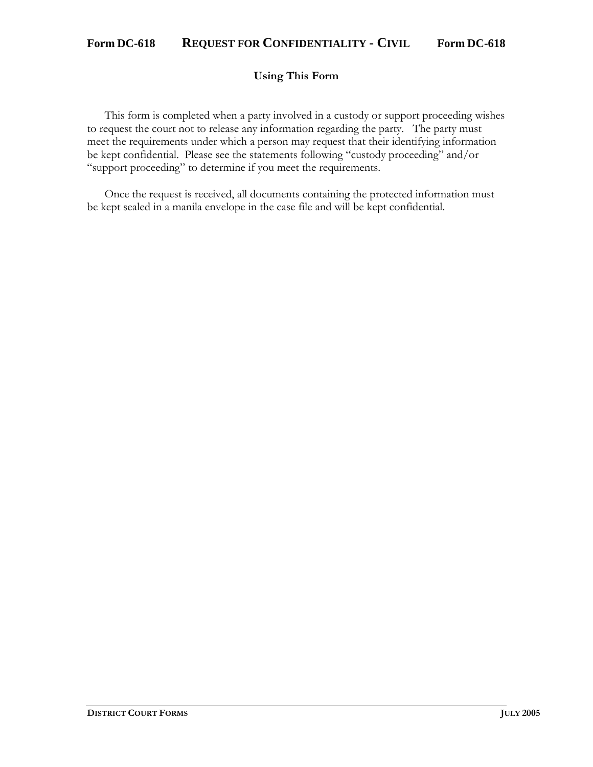### **Using This Form**

This form is completed when a party involved in a custody or support proceeding wishes to request the court not to release any information regarding the party. The party must meet the requirements under which a person may request that their identifying information be kept confidential. Please see the statements following "custody proceeding" and/or "support proceeding" to determine if you meet the requirements.

Once the request is received, all documents containing the protected information must be kept sealed in a manila envelope in the case file and will be kept confidential.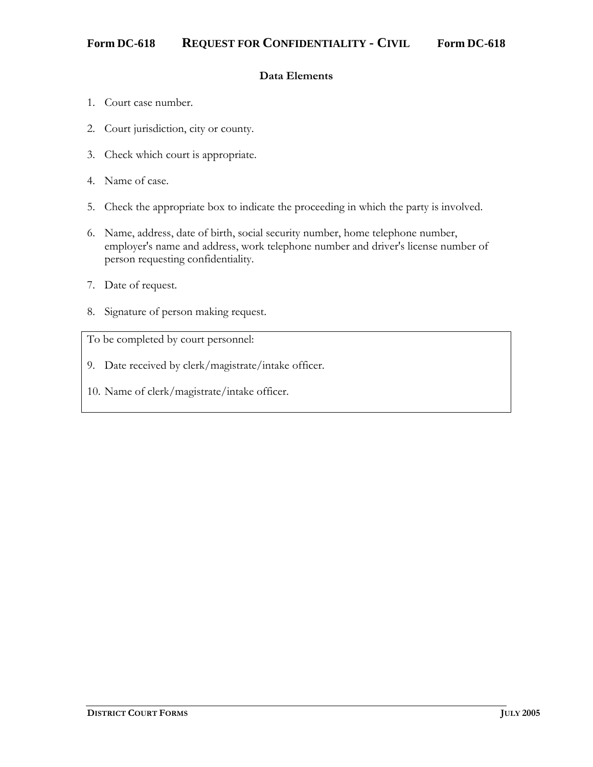## **Data Elements**

- 1. Court case number.
- 2. Court jurisdiction, city or county.
- 3. Check which court is appropriate.
- 4. Name of case.
- 5. Check the appropriate box to indicate the proceeding in which the party is involved.
- 6. Name, address, date of birth, social security number, home telephone number, employer's name and address, work telephone number and driver's license number of person requesting confidentiality.
- 7. Date of request.
- 8. Signature of person making request.

To be completed by court personnel:

- 9. Date received by clerk/magistrate/intake officer.
- 10. Name of clerk/magistrate/intake officer.